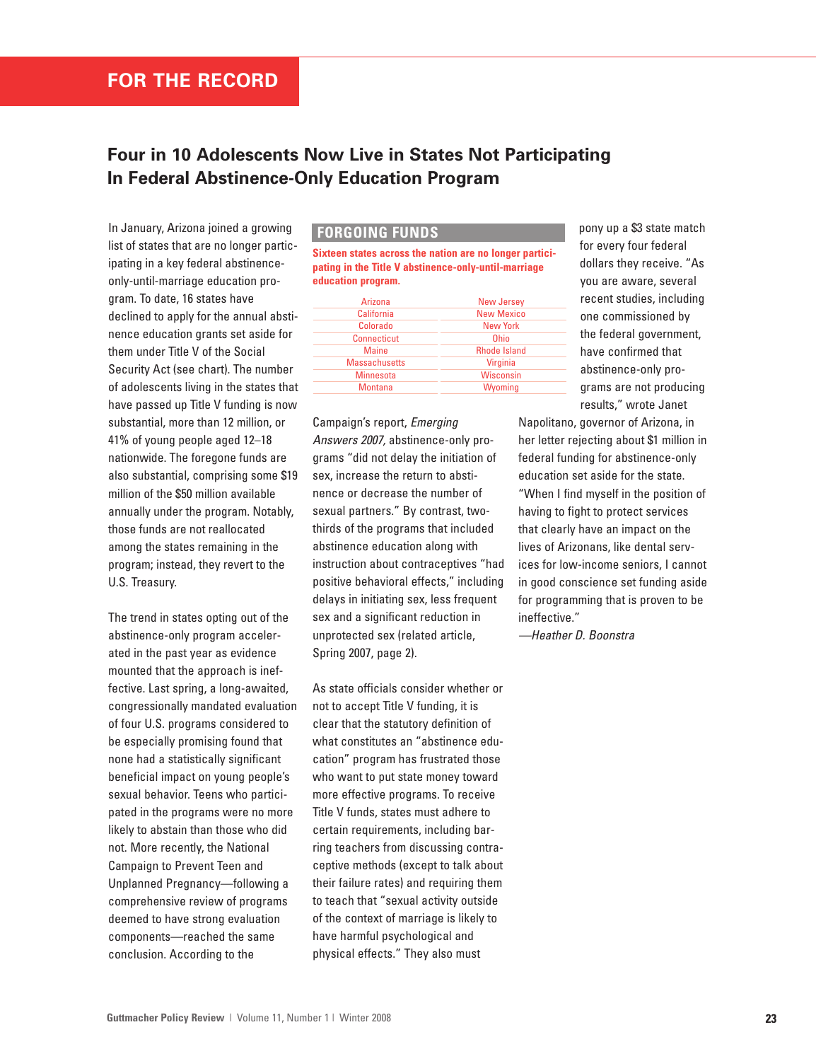## **Four in 10 Adolescents Now Live in States Not Participating In Federal Abstinence-Only Education Program**

In January, Arizona joined a growing list of states that are no longer participating in a key federal abstinenceonly-until-marriage education program. To date, 16 states have declined to apply for the annual abstinence education grants set aside for them under Title V of the Social Security Act (see chart). The number of adolescents living in the states that have passed up Title V funding is now substantial, more than 12 million, or 41% of young people aged 12–18 nationwide. The foregone funds are also substantial, comprising some \$19 million of the \$50 million available annually under the program. Notably, those funds are not reallocated among the states remaining in the program; instead, they revert to the U.S. Treasury.

The trend in states opting out of the abstinence-only program accelerated in the past year as evidence mounted that the approach is ineffective. Last spring, a long-awaited, congressionally mandated evaluation of four U.S. programs considered to be especially promising found that none had a statistically significant beneficial impact on young people's sexual behavior. Teens who participated in the programs were no more likely to abstain than those who did not. More recently, the National Campaign to Prevent Teen and Unplanned Pregnancy—following a comprehensive review of programs deemed to have strong evaluation components—reached the same conclusion. According to the

## **FORGOING FUNDS**

**Sixteen states across the nation are no longer participating in the Title V abstinence-only-until-marriage education program.**

| Arizona              | <b>New Jersey</b>   |
|----------------------|---------------------|
| California           | <b>New Mexico</b>   |
| Colorado             | <b>New York</b>     |
| Connecticut          | Ohio                |
| <b>Maine</b>         | <b>Rhode Island</b> |
| <b>Massachusetts</b> | Virginia            |
| <b>Minnesota</b>     | Wisconsin           |
| <b>Montana</b>       | Wyoming             |
|                      |                     |

Campaign's report, *Emerging Answers 2007,* abstinence-only programs "did not delay the initiation of sex, increase the return to abstinence or decrease the number of sexual partners." By contrast, twothirds of the programs that included abstinence education along with instruction about contraceptives "had positive behavioral effects," including delays in initiating sex, less frequent sex and a significant reduction in unprotected sex (related article, Spring 2007, page 2).

As state officials consider whether or not to accept Title V funding, it is clear that the statutory definition of what constitutes an "abstinence education" program has frustrated those who want to put state money toward more effective programs. To receive Title V funds, states must adhere to certain requirements, including barring teachers from discussing contraceptive methods (except to talk about their failure rates) and requiring them to teach that "sexual activity outside of the context of marriage is likely to have harmful psychological and physical effects." They also must

pony up a \$3 state match for every four federal dollars they receive. "As you are aware, several recent studies, including one commissioned by the federal government, have confirmed that abstinence-only programs are not producing results," wrote Janet

Napolitano, governor of Arizona, in her letter rejecting about \$1 million in federal funding for abstinence-only education set aside for the state. "When I find myself in the position of having to fight to protect services that clearly have an impact on the lives of Arizonans, like dental services for low-income seniors, I cannot in good conscience set funding aside for programming that is proven to be ineffective."

*—Heather D. Boonstra*